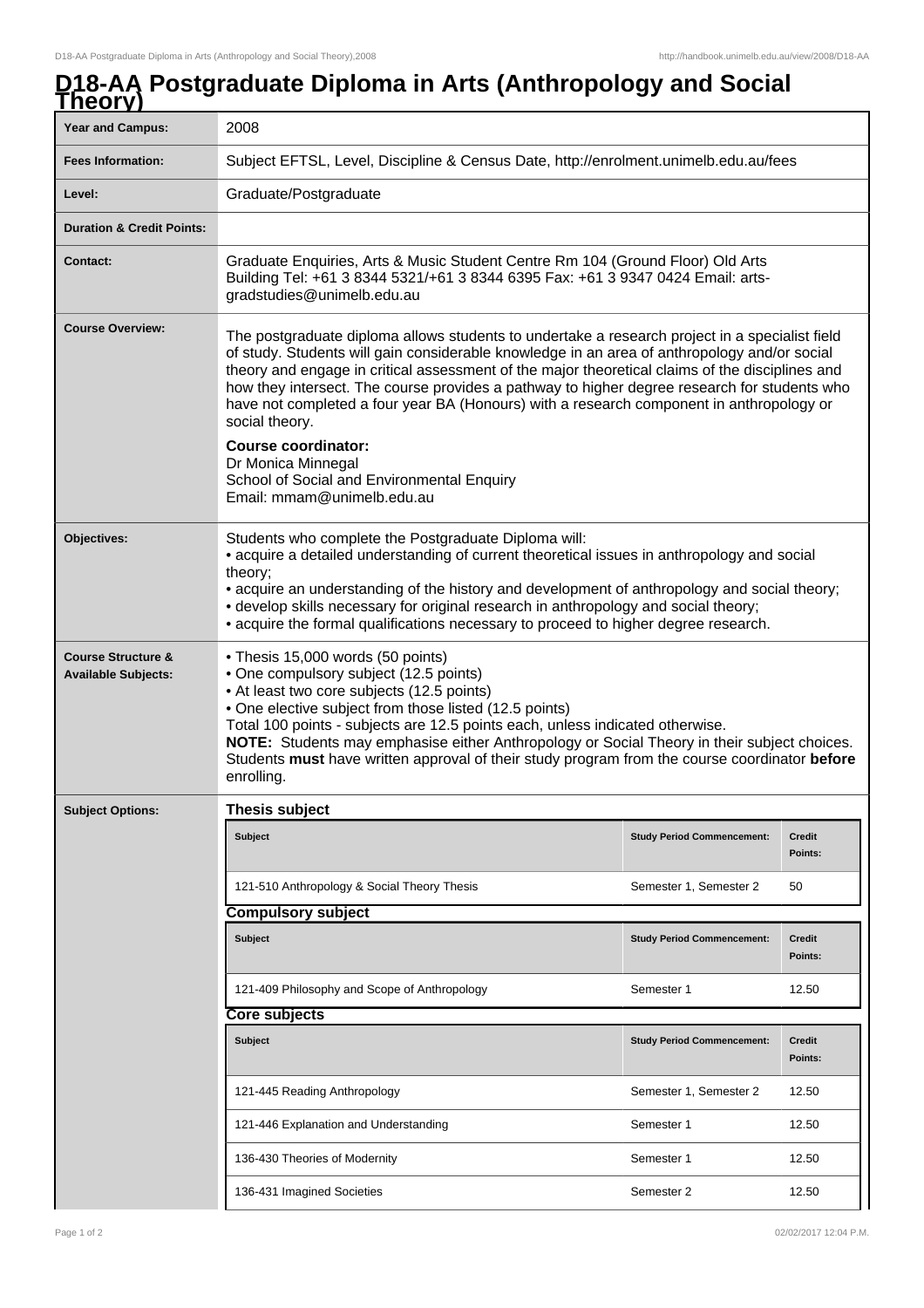## **D18-AA Postgraduate Diploma in Arts (Anthropology and Social Theory)**

| I IIWU Y                                                    |                                                                                                                                                                                                                                                                                                                                                                                                                                                                                                                                                                                                                                                 |                                   |                          |  |
|-------------------------------------------------------------|-------------------------------------------------------------------------------------------------------------------------------------------------------------------------------------------------------------------------------------------------------------------------------------------------------------------------------------------------------------------------------------------------------------------------------------------------------------------------------------------------------------------------------------------------------------------------------------------------------------------------------------------------|-----------------------------------|--------------------------|--|
| <b>Year and Campus:</b>                                     | 2008                                                                                                                                                                                                                                                                                                                                                                                                                                                                                                                                                                                                                                            |                                   |                          |  |
| <b>Fees Information:</b>                                    | Subject EFTSL, Level, Discipline & Census Date, http://enrolment.unimelb.edu.au/fees                                                                                                                                                                                                                                                                                                                                                                                                                                                                                                                                                            |                                   |                          |  |
| Level:                                                      | Graduate/Postgraduate                                                                                                                                                                                                                                                                                                                                                                                                                                                                                                                                                                                                                           |                                   |                          |  |
| <b>Duration &amp; Credit Points:</b>                        |                                                                                                                                                                                                                                                                                                                                                                                                                                                                                                                                                                                                                                                 |                                   |                          |  |
| <b>Contact:</b>                                             | Graduate Enquiries, Arts & Music Student Centre Rm 104 (Ground Floor) Old Arts<br>Building Tel: +61 3 8344 5321/+61 3 8344 6395 Fax: +61 3 9347 0424 Email: arts-<br>gradstudies@unimelb.edu.au                                                                                                                                                                                                                                                                                                                                                                                                                                                 |                                   |                          |  |
| <b>Course Overview:</b>                                     | The postgraduate diploma allows students to undertake a research project in a specialist field<br>of study. Students will gain considerable knowledge in an area of anthropology and/or social<br>theory and engage in critical assessment of the major theoretical claims of the disciplines and<br>how they intersect. The course provides a pathway to higher degree research for students who<br>have not completed a four year BA (Honours) with a research component in anthropology or<br>social theory.<br><b>Course coordinator:</b><br>Dr Monica Minnegal<br>School of Social and Environmental Enquiry<br>Email: mmam@unimelb.edu.au |                                   |                          |  |
| Objectives:                                                 | Students who complete the Postgraduate Diploma will:<br>• acquire a detailed understanding of current theoretical issues in anthropology and social<br>theory;<br>• acquire an understanding of the history and development of anthropology and social theory;<br>• develop skills necessary for original research in anthropology and social theory;<br>• acquire the formal qualifications necessary to proceed to higher degree research.                                                                                                                                                                                                    |                                   |                          |  |
| <b>Course Structure &amp;</b><br><b>Available Subjects:</b> | • Thesis 15,000 words (50 points)<br>• One compulsory subject (12.5 points)<br>• At least two core subjects (12.5 points)<br>• One elective subject from those listed (12.5 points)<br>Total 100 points - subjects are 12.5 points each, unless indicated otherwise.<br>NOTE: Students may emphasise either Anthropology or Social Theory in their subject choices.<br>Students must have written approval of their study program from the course coordinator before<br>enrolling.                                                                                                                                                              |                                   |                          |  |
| <b>Subject Options:</b>                                     | Thesis subject                                                                                                                                                                                                                                                                                                                                                                                                                                                                                                                                                                                                                                  |                                   |                          |  |
|                                                             | Subject                                                                                                                                                                                                                                                                                                                                                                                                                                                                                                                                                                                                                                         | <b>Study Period Commencement:</b> | <b>Credit</b><br>Points: |  |
|                                                             | 121-510 Anthropology & Social Theory Thesis                                                                                                                                                                                                                                                                                                                                                                                                                                                                                                                                                                                                     | Semester 1, Semester 2            | 50                       |  |
|                                                             | <b>Compulsory subject</b>                                                                                                                                                                                                                                                                                                                                                                                                                                                                                                                                                                                                                       |                                   |                          |  |
|                                                             | Subject                                                                                                                                                                                                                                                                                                                                                                                                                                                                                                                                                                                                                                         | <b>Study Period Commencement:</b> | <b>Credit</b><br>Points: |  |
|                                                             | 121-409 Philosophy and Scope of Anthropology                                                                                                                                                                                                                                                                                                                                                                                                                                                                                                                                                                                                    | Semester 1                        | 12.50                    |  |
|                                                             | <b>Core subjects</b>                                                                                                                                                                                                                                                                                                                                                                                                                                                                                                                                                                                                                            |                                   |                          |  |
|                                                             | Subject                                                                                                                                                                                                                                                                                                                                                                                                                                                                                                                                                                                                                                         | <b>Study Period Commencement:</b> | <b>Credit</b><br>Points: |  |
|                                                             | 121-445 Reading Anthropology                                                                                                                                                                                                                                                                                                                                                                                                                                                                                                                                                                                                                    | Semester 1, Semester 2            | 12.50                    |  |
|                                                             | 121-446 Explanation and Understanding                                                                                                                                                                                                                                                                                                                                                                                                                                                                                                                                                                                                           | Semester 1                        | 12.50                    |  |
|                                                             | 136-430 Theories of Modernity                                                                                                                                                                                                                                                                                                                                                                                                                                                                                                                                                                                                                   | Semester 1                        | 12.50                    |  |
|                                                             | 136-431 Imagined Societies                                                                                                                                                                                                                                                                                                                                                                                                                                                                                                                                                                                                                      | Semester 2                        | 12.50                    |  |